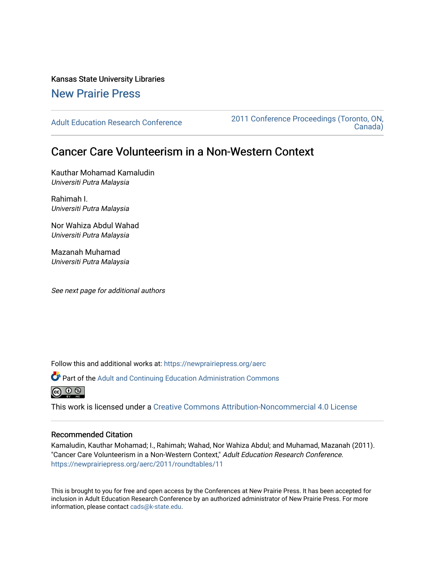Kansas State University Libraries

## [New Prairie Press](https://newprairiepress.org/)

[Adult Education Research Conference](https://newprairiepress.org/aerc) [2011 Conference Proceedings \(Toronto, ON,](https://newprairiepress.org/aerc/2011)  [Canada\)](https://newprairiepress.org/aerc/2011) 

# Cancer Care Volunteerism in a Non-Western Context

Kauthar Mohamad Kamaludin Universiti Putra Malaysia

Rahimah I. Universiti Putra Malaysia

Nor Wahiza Abdul Wahad Universiti Putra Malaysia

Mazanah Muhamad Universiti Putra Malaysia

See next page for additional authors

Follow this and additional works at: [https://newprairiepress.org/aerc](https://newprairiepress.org/aerc?utm_source=newprairiepress.org%2Faerc%2F2011%2Froundtables%2F11&utm_medium=PDF&utm_campaign=PDFCoverPages)

Part of the [Adult and Continuing Education Administration Commons](http://network.bepress.com/hgg/discipline/789?utm_source=newprairiepress.org%2Faerc%2F2011%2Froundtables%2F11&utm_medium=PDF&utm_campaign=PDFCoverPages)



This work is licensed under a [Creative Commons Attribution-Noncommercial 4.0 License](https://creativecommons.org/licenses/by-nc/4.0/)

## Recommended Citation

Kamaludin, Kauthar Mohamad; I., Rahimah; Wahad, Nor Wahiza Abdul; and Muhamad, Mazanah (2011). "Cancer Care Volunteerism in a Non-Western Context," Adult Education Research Conference. <https://newprairiepress.org/aerc/2011/roundtables/11>

This is brought to you for free and open access by the Conferences at New Prairie Press. It has been accepted for inclusion in Adult Education Research Conference by an authorized administrator of New Prairie Press. For more information, please contact [cads@k-state.edu](mailto:cads@k-state.edu).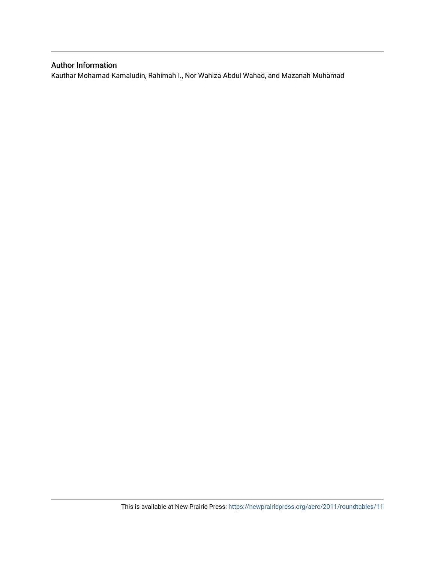## Author Information

Kauthar Mohamad Kamaludin, Rahimah I., Nor Wahiza Abdul Wahad, and Mazanah Muhamad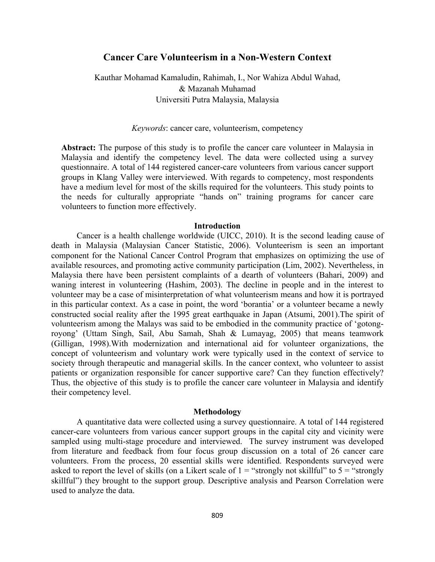## **Cancer Care Volunteerism in a Non-Western Context**

Kauthar Mohamad Kamaludin, Rahimah, I., Nor Wahiza Abdul Wahad, & Mazanah Muhamad Universiti Putra Malaysia, Malaysia

*Keywords*: cancer care, volunteerism, competency

**Abstract:** The purpose of this study is to profile the cancer care volunteer in Malaysia in Malaysia and identify the competency level. The data were collected using a survey questionnaire. A total of 144 registered cancer-care volunteers from various cancer support groups in Klang Valley were interviewed. With regards to competency, most respondents have a medium level for most of the skills required for the volunteers. This study points to the needs for culturally appropriate "hands on" training programs for cancer care volunteers to function more effectively.

#### **Introduction**

Cancer is a health challenge worldwide (UICC, 2010). It is the second leading cause of death in Malaysia (Malaysian Cancer Statistic, 2006). Volunteerism is seen an important component for the National Cancer Control Program that emphasizes on optimizing the use of available resources, and promoting active community participation (Lim, 2002). Nevertheless, in Malaysia there have been persistent complaints of a dearth of volunteers (Bahari, 2009) and waning interest in volunteering (Hashim, 2003). The decline in people and in the interest to volunteer may be a case of misinterpretation of what volunteerism means and how it is portrayed in this particular context. As a case in point, the word 'borantia' or a volunteer became a newly constructed social reality after the 1995 great earthquake in Japan (Atsumi, 2001).The spirit of volunteerism among the Malays was said to be embodied in the community practice of 'gotongroyong' (Uttam Singh, Sail, Abu Samah, Shah & Lumayag, 2005) that means teamwork (Gilligan, 1998).With modernization and international aid for volunteer organizations, the concept of volunteerism and voluntary work were typically used in the context of service to society through therapeutic and managerial skills. In the cancer context, who volunteer to assist patients or organization responsible for cancer supportive care? Can they function effectively? Thus, the objective of this study is to profile the cancer care volunteer in Malaysia and identify their competency level.

#### **Methodology**

A quantitative data were collected using a survey questionnaire. A total of 144 registered cancer-care volunteers from various cancer support groups in the capital city and vicinity were sampled using multi-stage procedure and interviewed. The survey instrument was developed from literature and feedback from four focus group discussion on a total of 26 cancer care volunteers. From the process, 20 essential skills were identified. Respondents surveyed were asked to report the level of skills (on a Likert scale of  $1 =$  "strongly not skillful" to  $5 =$  "strongly" skillful") they brought to the support group. Descriptive analysis and Pearson Correlation were used to analyze the data.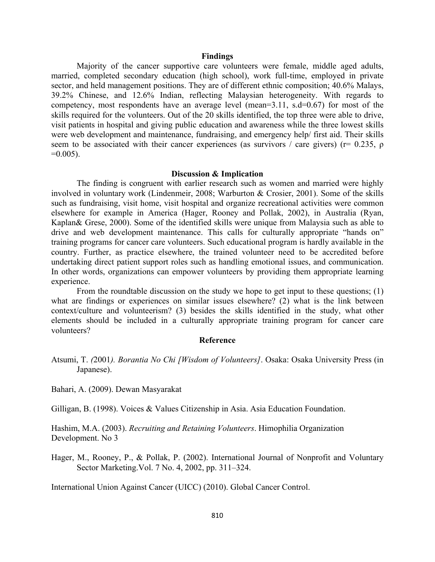#### **Findings**

Majority of the cancer supportive care volunteers were female, middle aged adults, married, completed secondary education (high school), work full-time, employed in private sector, and held management positions. They are of different ethnic composition; 40.6% Malays, 39.2% Chinese, and 12.6% Indian, reflecting Malaysian heterogeneity. With regards to competency, most respondents have an average level (mean=3.11, s.d=0.67) for most of the skills required for the volunteers. Out of the 20 skills identified, the top three were able to drive, visit patients in hospital and giving public education and awareness while the three lowest skills were web development and maintenance, fundraising, and emergency help/ first aid. Their skills seem to be associated with their cancer experiences (as survivors / care givers) ( $r= 0.235$ ,  $\rho$  $=0.005$ ).

#### **Discussion & Implication**

The finding is congruent with earlier research such as women and married were highly involved in voluntary work (Lindenmeir, 2008; Warburton & Crosier, 2001). Some of the skills such as fundraising, visit home, visit hospital and organize recreational activities were common elsewhere for example in America (Hager, Rooney and Pollak, 2002), in Australia (Ryan, Kaplan& Grese, 2000). Some of the identified skills were unique from Malaysia such as able to drive and web development maintenance. This calls for culturally appropriate "hands on" training programs for cancer care volunteers. Such educational program is hardly available in the country. Further, as practice elsewhere, the trained volunteer need to be accredited before undertaking direct patient support roles such as handling emotional issues, and communication. In other words, organizations can empower volunteers by providing them appropriate learning experience.

From the roundtable discussion on the study we hope to get input to these questions; (1) what are findings or experiences on similar issues elsewhere? (2) what is the link between context/culture and volunteerism? (3) besides the skills identified in the study, what other elements should be included in a culturally appropriate training program for cancer care volunteers?

### **Reference**

Atsumi, T. *(*2001*). Borantia No Chi [Wisdom of Volunteers]*. Osaka: Osaka University Press (in Japanese).

Bahari, A. (2009). Dewan Masyarakat

Gilligan, B. (1998). Voices & Values Citizenship in Asia. Asia Education Foundation.

Hashim, M.A. (2003). *Recruiting and Retaining Volunteers*. Himophilia Organization Development. No 3

Hager, M., Rooney, P., & Pollak, P. (2002). International Journal of Nonprofit and Voluntary Sector Marketing.Vol. 7 No. 4, 2002, pp. 311–324.

International Union Against Cancer (UICC) (2010). Global Cancer Control.